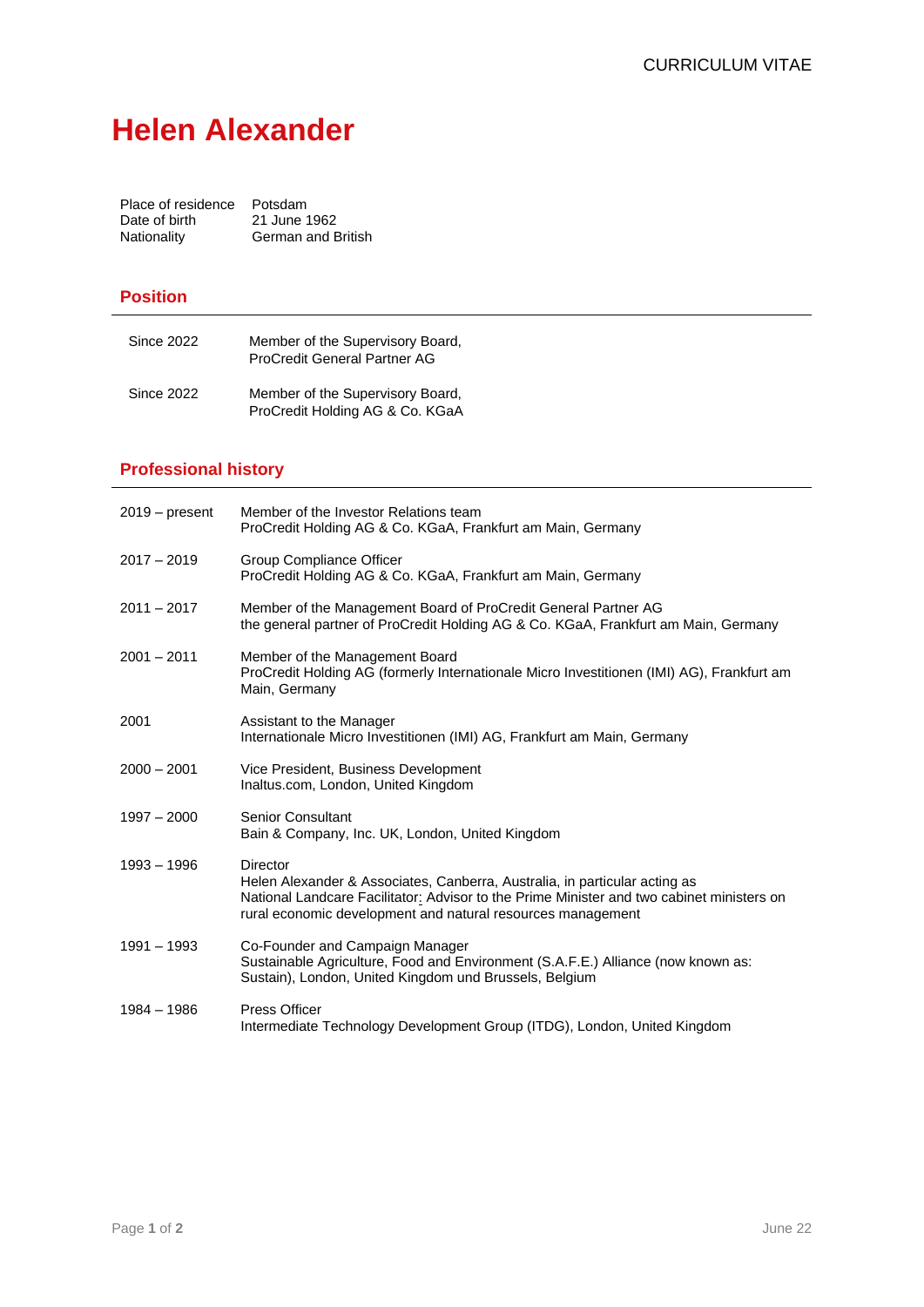## **Helen Alexander**

| Place of residence | Potsdam                   |
|--------------------|---------------------------|
| Date of birth      | 21 June 1962              |
| Nationality        | <b>German and British</b> |

## **Position**

| <b>Since 2022</b> | Member of the Supervisory Board,<br>ProCredit General Partner AG    |
|-------------------|---------------------------------------------------------------------|
| <b>Since 2022</b> | Member of the Supervisory Board,<br>ProCredit Holding AG & Co. KGaA |

## **Professional history**

| $2019 - present$ | Member of the Investor Relations team<br>ProCredit Holding AG & Co. KGaA, Frankfurt am Main, Germany                                                                                                                                                      |
|------------------|-----------------------------------------------------------------------------------------------------------------------------------------------------------------------------------------------------------------------------------------------------------|
| $2017 - 2019$    | Group Compliance Officer<br>ProCredit Holding AG & Co. KGaA, Frankfurt am Main, Germany                                                                                                                                                                   |
| $2011 - 2017$    | Member of the Management Board of ProCredit General Partner AG<br>the general partner of ProCredit Holding AG & Co. KGaA, Frankfurt am Main, Germany                                                                                                      |
| $2001 - 2011$    | Member of the Management Board<br>ProCredit Holding AG (formerly Internationale Micro Investitionen (IMI) AG), Frankfurt am<br>Main, Germany                                                                                                              |
| 2001             | Assistant to the Manager<br>Internationale Micro Investitionen (IMI) AG, Frankfurt am Main, Germany                                                                                                                                                       |
| $2000 - 2001$    | Vice President, Business Development<br>Inaltus.com, London, United Kingdom                                                                                                                                                                               |
| $1997 - 2000$    | <b>Senior Consultant</b><br>Bain & Company, Inc. UK, London, United Kingdom                                                                                                                                                                               |
| $1993 - 1996$    | <b>Director</b><br>Helen Alexander & Associates, Canberra, Australia, in particular acting as<br>National Landcare Facilitator: Advisor to the Prime Minister and two cabinet ministers on<br>rural economic development and natural resources management |
| $1991 - 1993$    | Co-Founder and Campaign Manager<br>Sustainable Agriculture, Food and Environment (S.A.F.E.) Alliance (now known as:<br>Sustain), London, United Kingdom und Brussels, Belgium                                                                             |
| 1984 - 1986      | <b>Press Officer</b><br>Intermediate Technology Development Group (ITDG), London, United Kingdom                                                                                                                                                          |